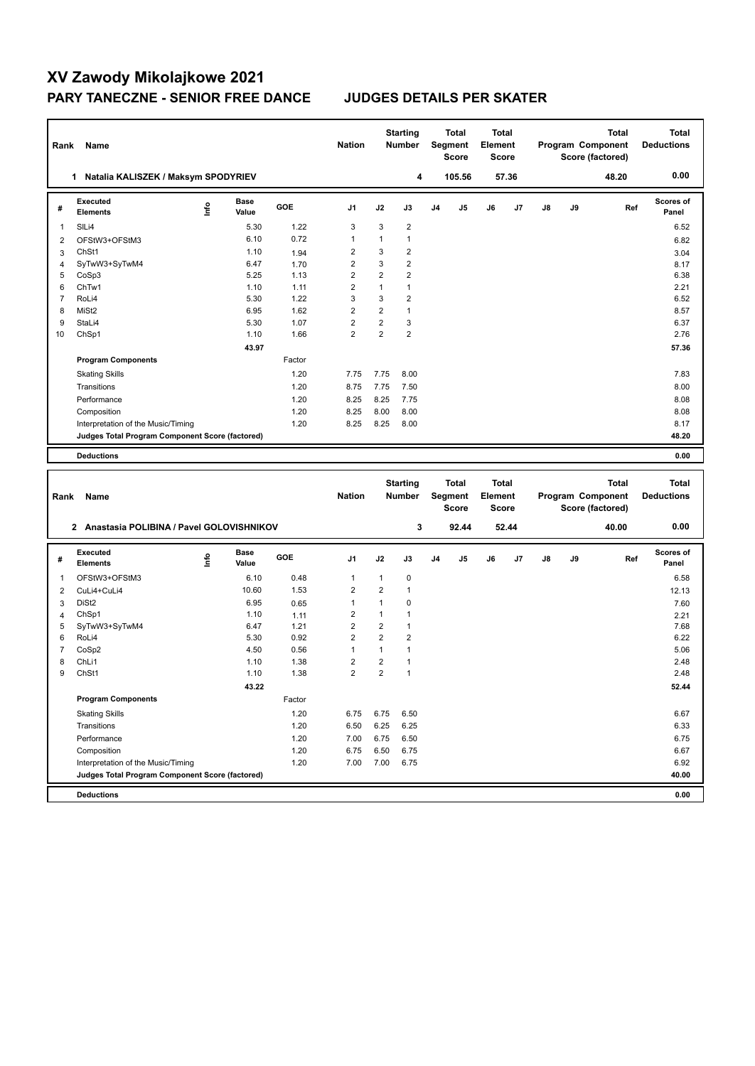## **XV Zawody Mikolajkowe 2021 PARY TANECZNE - SENIOR FREE DANCE JUDGES DETAILS PER SKATER**

| Rank           | Name                                            |      |                      |        | <b>Nation</b>           |                         | <b>Starting</b><br>Number |    | <b>Total</b><br>Segment<br><b>Score</b> | <b>Total</b><br>Element<br>Score |       |    |    | <b>Total</b><br>Program Component<br>Score (factored) |     | <b>Total</b><br><b>Deductions</b> |
|----------------|-------------------------------------------------|------|----------------------|--------|-------------------------|-------------------------|---------------------------|----|-----------------------------------------|----------------------------------|-------|----|----|-------------------------------------------------------|-----|-----------------------------------|
|                | 1 Natalia KALISZEK / Maksym SPODYRIEV           |      |                      |        |                         |                         | 4                         |    | 105.56                                  |                                  | 57.36 |    |    | 48.20                                                 |     | 0.00                              |
| #              | Executed<br>Elements                            | lnfo | <b>Base</b><br>Value | GOE    | J1                      | J2                      | J3                        | J4 | J5                                      | J6                               | J7    | J8 | J9 |                                                       | Ref | <b>Scores of</b><br>Panel         |
| 1              | SILi4                                           |      | 5.30                 | 1.22   | 3                       | 3                       | $\overline{2}$            |    |                                         |                                  |       |    |    |                                                       |     | 6.52                              |
| 2              | OFStW3+OFStM3                                   |      | 6.10                 | 0.72   | 1                       | 1                       | $\mathbf{1}$              |    |                                         |                                  |       |    |    |                                                       |     | 6.82                              |
| 3              | ChSt1                                           |      | 1.10                 | 1.94   | $\overline{c}$          | 3                       | $\overline{2}$            |    |                                         |                                  |       |    |    |                                                       |     | 3.04                              |
| 4              | SyTwW3+SyTwM4                                   |      | 6.47                 | 1.70   | $\overline{2}$          | 3                       | $\overline{2}$            |    |                                         |                                  |       |    |    |                                                       |     | 8.17                              |
| 5              | CoSp3                                           |      | 5.25                 | 1.13   | $\overline{2}$          | $\overline{2}$          | $\overline{2}$            |    |                                         |                                  |       |    |    |                                                       |     | 6.38                              |
| 6              | ChTw1                                           |      | 1.10                 | 1.11   | $\overline{2}$          | $\mathbf{1}$            | $\mathbf{1}$              |    |                                         |                                  |       |    |    |                                                       |     | 2.21                              |
| $\overline{7}$ | RoLi4                                           |      | 5.30                 | 1.22   | 3                       | 3                       | $\overline{2}$            |    |                                         |                                  |       |    |    |                                                       |     | 6.52                              |
| 8              | MiSt <sub>2</sub>                               |      | 6.95                 | 1.62   | $\overline{\mathbf{c}}$ | $\overline{2}$          | $\mathbf{1}$              |    |                                         |                                  |       |    |    |                                                       |     | 8.57                              |
| 9              | StaLi4                                          |      | 5.30                 | 1.07   | $\overline{2}$          | 2                       | 3                         |    |                                         |                                  |       |    |    |                                                       |     | 6.37                              |
| 10             | ChSp1                                           |      | 1.10                 | 1.66   | $\overline{2}$          | $\overline{2}$          | $\overline{2}$            |    |                                         |                                  |       |    |    |                                                       |     | 2.76                              |
|                |                                                 |      | 43.97                |        |                         |                         |                           |    |                                         |                                  |       |    |    |                                                       |     | 57.36                             |
|                | <b>Program Components</b>                       |      |                      | Factor |                         |                         |                           |    |                                         |                                  |       |    |    |                                                       |     |                                   |
|                | <b>Skating Skills</b>                           |      |                      | 1.20   | 7.75                    | 7.75                    | 8.00                      |    |                                         |                                  |       |    |    |                                                       |     | 7.83                              |
|                | Transitions                                     |      |                      | 1.20   | 8.75                    | 7.75                    | 7.50                      |    |                                         |                                  |       |    |    |                                                       |     | 8.00                              |
|                | Performance                                     |      |                      | 1.20   | 8.25                    | 8.25                    | 7.75                      |    |                                         |                                  |       |    |    |                                                       |     | 8.08                              |
|                | Composition                                     |      |                      | 1.20   | 8.25                    | 8.00                    | 8.00                      |    |                                         |                                  |       |    |    |                                                       |     | 8.08                              |
|                | Interpretation of the Music/Timing              |      |                      | 1.20   | 8.25                    | 8.25                    | 8.00                      |    |                                         |                                  |       |    |    |                                                       |     | 8.17                              |
|                | Judges Total Program Component Score (factored) |      |                      |        |                         |                         |                           |    |                                         |                                  |       |    |    |                                                       |     | 48.20                             |
|                | <b>Deductions</b>                               |      |                      |        |                         |                         |                           |    |                                         |                                  |       |    |    |                                                       |     | 0.00                              |
|                |                                                 |      |                      |        |                         |                         |                           |    |                                         |                                  |       |    |    |                                                       |     |                                   |
|                |                                                 |      |                      |        |                         |                         | <b>Starting</b>           |    | <b>Total</b>                            | <b>Total</b>                     |       |    |    | <b>Total</b>                                          |     | <b>Total</b>                      |
| Rank           | Name                                            |      |                      |        | <b>Nation</b>           |                         | <b>Number</b>             |    | Segment<br><b>Score</b>                 | Element<br><b>Score</b>          |       |    |    | Program Component<br>Score (factored)                 |     | <b>Deductions</b>                 |
|                | 2 Anastasia POLIBINA / Pavel GOLOVISHNIKOV      |      |                      |        |                         |                         | 3                         |    | 92.44                                   |                                  | 52.44 |    |    | 40.00                                                 |     | 0.00                              |
| #              | Executed<br><b>Elements</b>                     | lnfo | Base<br>Value        | GOE    | J1                      | J2                      | J3                        | J4 | J5                                      | J6                               | J7    | J8 | J9 |                                                       | Ref | <b>Scores of</b><br>Panel         |
| 1              | OFStW3+OFStM3                                   |      | 6.10                 | 0.48   | 1                       | 1                       | $\pmb{0}$                 |    |                                         |                                  |       |    |    |                                                       |     | 6.58                              |
| $\overline{2}$ | CuLi4+CuLi4                                     |      | 10.60                | 1.53   | $\overline{2}$          | $\overline{\mathbf{c}}$ | $\mathbf{1}$              |    |                                         |                                  |       |    |    |                                                       |     | 12.13                             |
| 3              | DiSt <sub>2</sub>                               |      | 6.95                 | 0.65   | 1                       | 1                       | $\mathbf 0$               |    |                                         |                                  |       |    |    |                                                       |     | 7.60                              |
| 4              | ChSp1                                           |      | 1.10                 | 1.11   | $\overline{2}$          | 1                       | $\mathbf{1}$              |    |                                         |                                  |       |    |    |                                                       |     | 2.21                              |
| 5              | SyTwW3+SyTwM4                                   |      | 6.47                 | 1.21   | $\overline{\mathbf{c}}$ | $\overline{2}$          | $\mathbf{1}$              |    |                                         |                                  |       |    |    |                                                       |     | 7.68                              |
| 6              | RoLi4                                           |      | 5.30                 | 0.92   | $\overline{2}$          | $\overline{2}$          | $\overline{2}$            |    |                                         |                                  |       |    |    |                                                       |     | 6.22                              |
| 7              | CoSp2                                           |      | 4.50                 | 0.56   | 1                       | 1                       | $\mathbf{1}$              |    |                                         |                                  |       |    |    |                                                       |     | 5.06                              |
| 8              | ChL <sub>i1</sub>                               |      | 1.10                 | 1.38   | $\overline{2}$          | 2                       | $\mathbf{1}$              |    |                                         |                                  |       |    |    |                                                       |     | 2.48                              |
| 9              | ChSt1                                           |      | 1.10                 | 1.38   | $\overline{2}$          | $\overline{2}$          | $\overline{1}$            |    |                                         |                                  |       |    |    |                                                       |     | 2.48                              |
|                |                                                 |      | 43.22                |        |                         |                         |                           |    |                                         |                                  |       |    |    |                                                       |     | 52.44                             |
|                | <b>Program Components</b>                       |      |                      | Factor |                         |                         |                           |    |                                         |                                  |       |    |    |                                                       |     |                                   |
|                | <b>Skating Skills</b>                           |      |                      | 1.20   | 6.75                    | 6.75                    | 6.50                      |    |                                         |                                  |       |    |    |                                                       |     | 6.67                              |
|                | Transitions                                     |      |                      | 1.20   | 6.50                    | 6.25                    | 6.25                      |    |                                         |                                  |       |    |    |                                                       |     | 6.33                              |
|                | Performance                                     |      |                      | 1.20   | 7.00                    | 6.75                    | 6.50                      |    |                                         |                                  |       |    |    |                                                       |     | 6.75                              |
|                | Composition                                     |      |                      | 1.20   | 6.75                    | 6.50                    | 6.75                      |    |                                         |                                  |       |    |    |                                                       |     | 6.67                              |
|                | Interpretation of the Music/Timing              |      |                      | 1.20   | 7.00                    | 7.00                    | 6.75                      |    |                                         |                                  |       |    |    |                                                       |     | 6.92                              |
|                | Judges Total Program Component Score (factored) |      |                      |        |                         |                         |                           |    |                                         |                                  |       |    |    |                                                       |     | 40.00                             |